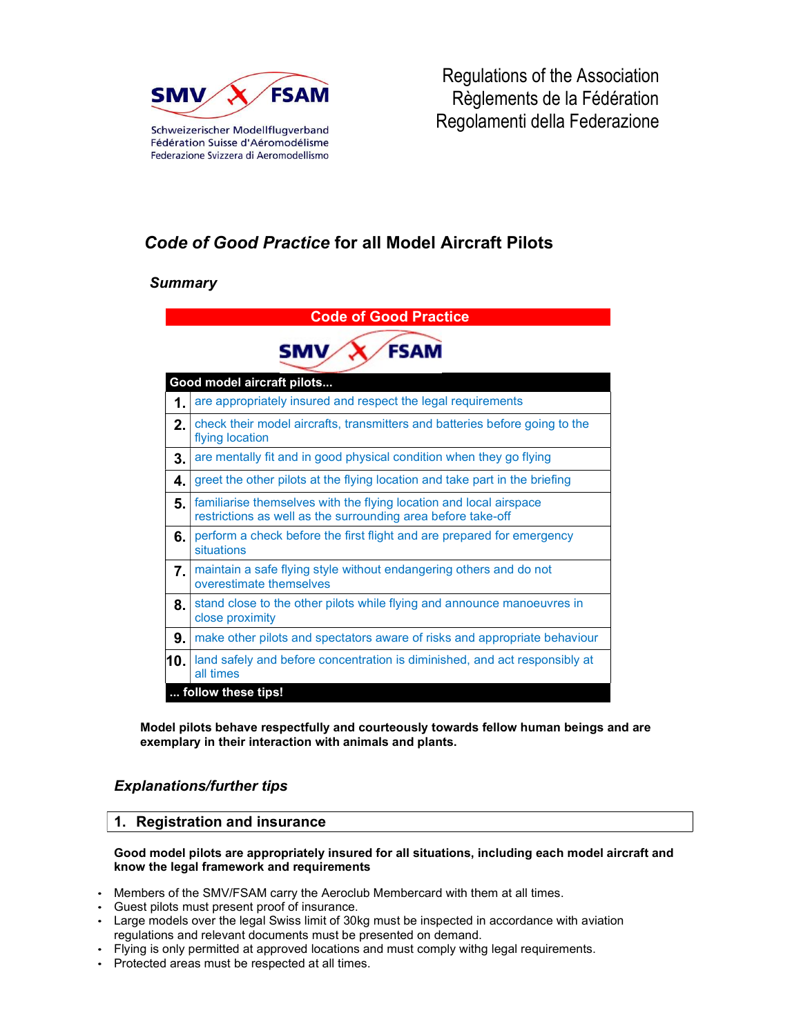

Regulations of the Association Règlements de la Fédération Regolamenti della Federazione

# Code of Good Practice for all Model Aircraft Pilots

# **Summary**

| <b>Code of Good Practice</b> |                                                                                                                                    |  |
|------------------------------|------------------------------------------------------------------------------------------------------------------------------------|--|
| <b>FSAM</b><br>SMV           |                                                                                                                                    |  |
| Good model aircraft pilots   |                                                                                                                                    |  |
| 1.                           | are appropriately insured and respect the legal requirements                                                                       |  |
| 2.                           | check their model aircrafts, transmitters and batteries before going to the<br>flying location                                     |  |
| 3.                           | are mentally fit and in good physical condition when they go flying                                                                |  |
| 4.                           | greet the other pilots at the flying location and take part in the briefing                                                        |  |
| 5.                           | familiarise themselves with the flying location and local airspace<br>restrictions as well as the surrounding area before take-off |  |
| 6.                           | perform a check before the first flight and are prepared for emergency<br>situations                                               |  |
| 7.                           | maintain a safe flying style without endangering others and do not<br>overestimate themselves                                      |  |
| 8.                           | stand close to the other pilots while flying and announce manoeuvres in<br>close proximity                                         |  |
| 9.                           | make other pilots and spectators aware of risks and appropriate behaviour                                                          |  |
| 10.                          | land safely and before concentration is diminished, and act responsibly at<br>all times                                            |  |
| follow these tips!           |                                                                                                                                    |  |

Model pilots behave respectfully and courteously towards fellow human beings and are exemplary in their interaction with animals and plants.

# Explanations/further tips

### 1. Registration and insurance

Good model pilots are appropriately insured for all situations, including each model aircraft and know the legal framework and requirements

- Members of the SMV/FSAM carry the Aeroclub Membercard with them at all times.
- Guest pilots must present proof of insurance.
- Large models over the legal Swiss limit of 30kg must be inspected in accordance with aviation regulations and relevant documents must be presented on demand.
- Flying is only permitted at approved locations and must comply withg legal requirements.
- Protected areas must be respected at all times.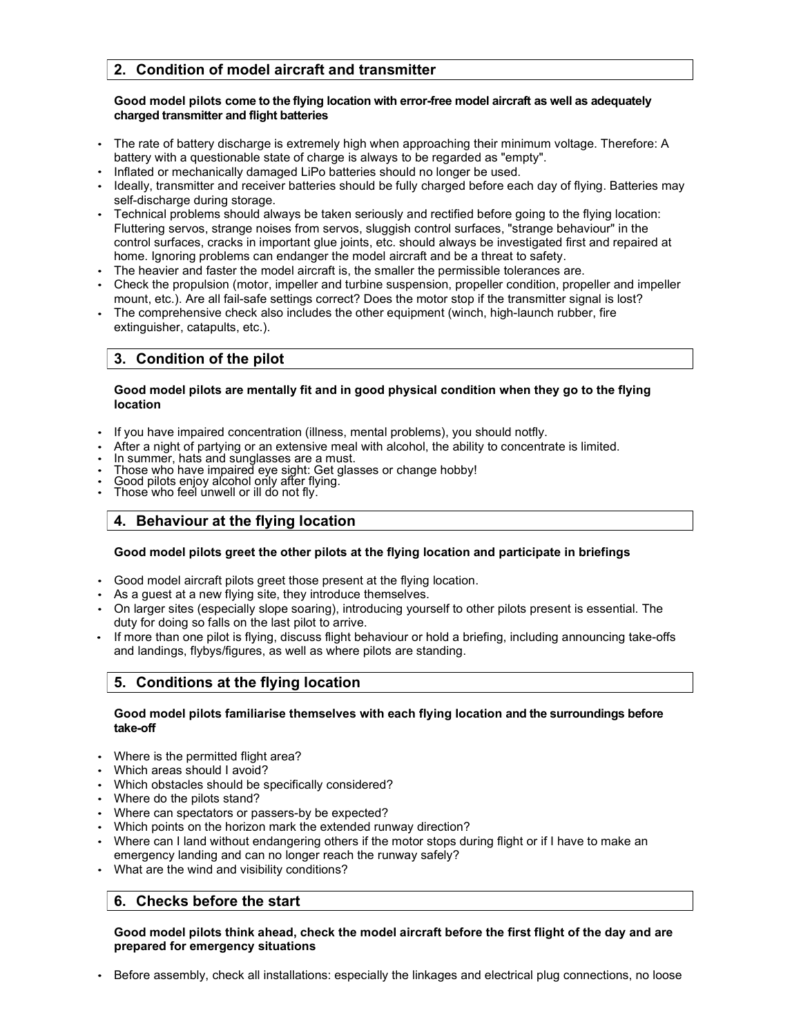# 2. Condition of model aircraft and transmitter

#### Good model pilots come to the flying location with error-free model aircraft as well as adequately charged transmitter and flight batteries

- The rate of battery discharge is extremely high when approaching their minimum voltage. Therefore: A battery with a questionable state of charge is always to be regarded as "empty".
- Inflated or mechanically damaged LiPo batteries should no longer be used.
- Ideally, transmitter and receiver batteries should be fully charged before each day of flying. Batteries may self-discharge during storage.
- Technical problems should always be taken seriously and rectified before going to the flying location: Fluttering servos, strange noises from servos, sluggish control surfaces, "strange behaviour" in the control surfaces, cracks in important glue joints, etc. should always be investigated first and repaired at home. Ignoring problems can endanger the model aircraft and be a threat to safety.
- The heavier and faster the model aircraft is, the smaller the permissible tolerances are.
- Check the propulsion (motor, impeller and turbine suspension, propeller condition, propeller and impeller mount, etc.). Are all fail-safe settings correct? Does the motor stop if the transmitter signal is lost?
- The comprehensive check also includes the other equipment (winch, high-launch rubber, fire extinguisher, catapults, etc.).

# 3. Condition of the pilot

#### Good model pilots are mentally fit and in good physical condition when they go to the flying location

- If you have impaired concentration (illness, mental problems), you should notfly.
- After a night of partying or an extensive meal with alcohol, the ability to concentrate is limited.<br>• In summer, hats and sunglasses are a must.<br>• Those who have impaired eye sight: Get glasses or change hobby!<br>• Good pi
- 
- 
- 
- 

### 4. Behaviour at the flying location

#### Good model pilots greet the other pilots at the flying location and participate in briefings

- Good model aircraft pilots greet those present at the flying location.
- As a guest at a new flying site, they introduce themselves.
- On larger sites (especially slope soaring), introducing yourself to other pilots present is essential. The duty for doing so falls on the last pilot to arrive.
- If more than one pilot is flying, discuss flight behaviour or hold a briefing, including announcing take-offs and landings, flybys/figures, as well as where pilots are standing.

### 5. Conditions at the flying location

#### Good model pilots familiarise themselves with each flying location and the surroundings before take-off

- Where is the permitted flight area?
- Which areas should I avoid?
- Which obstacles should be specifically considered?
- Where do the pilots stand?
- Where can spectators or passers-by be expected?
- Which points on the horizon mark the extended runway direction?
- Where can I land without endangering others if the motor stops during flight or if I have to make an emergency landing and can no longer reach the runway safely?
- What are the wind and visibility conditions?

### 6. Checks before the start

#### Good model pilots think ahead, check the model aircraft before the first flight of the day and are prepared for emergency situations

• Before assembly, check all installations: especially the linkages and electrical plug connections, no loose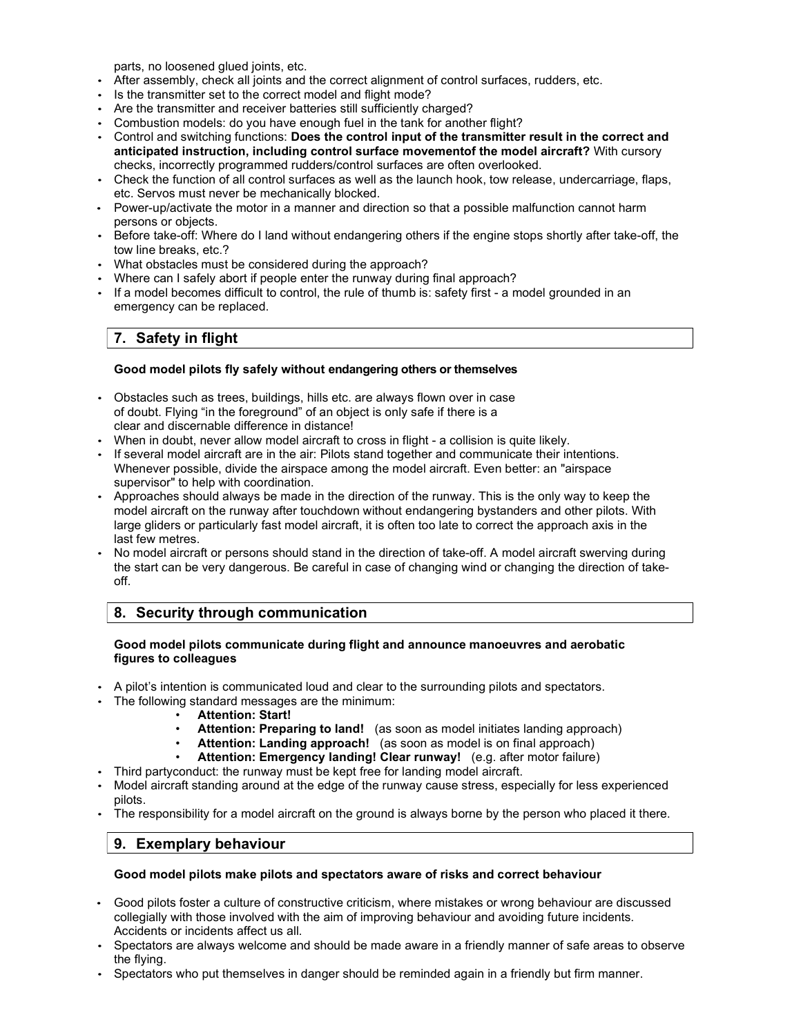parts, no loosened glued joints, etc.

- After assembly, check all joints and the correct alignment of control surfaces, rudders, etc.
- Is the transmitter set to the correct model and flight mode?
- Are the transmitter and receiver batteries still sufficiently charged?
- Combustion models: do you have enough fuel in the tank for another flight?
- Control and switching functions: Does the control input of the transmitter result in the correct and anticipated instruction, including control surface movementof the model aircraft? With cursory checks, incorrectly programmed rudders/control surfaces are often overlooked.
- Check the function of all control surfaces as well as the launch hook, tow release, undercarriage, flaps, etc. Servos must never be mechanically blocked.
- Power-up/activate the motor in a manner and direction so that a possible malfunction cannot harm persons or objects.
- Before take-off: Where do I land without endangering others if the engine stops shortly after take-off, the tow line breaks, etc.?
- What obstacles must be considered during the approach?
- Where can I safely abort if people enter the runway during final approach?
- If a model becomes difficult to control, the rule of thumb is: safety first a model grounded in an emergency can be replaced.

# 7. Safety in flight

#### Good model pilots fly safely without endangering others or themselves

- Obstacles such as trees, buildings, hills etc. are always flown over in case of doubt. Flying "in the foreground" of an object is only safe if there is a clear and discernable difference in distance!
- When in doubt, never allow model aircraft to cross in flight a collision is quite likely.
- If several model aircraft are in the air: Pilots stand together and communicate their intentions. Whenever possible, divide the airspace among the model aircraft. Even better: an "airspace supervisor" to help with coordination.
- Approaches should always be made in the direction of the runway. This is the only way to keep the model aircraft on the runway after touchdown without endangering bystanders and other pilots. With large gliders or particularly fast model aircraft, it is often too late to correct the approach axis in the last few metres.
- No model aircraft or persons should stand in the direction of take-off. A model aircraft swerving during the start can be very dangerous. Be careful in case of changing wind or changing the direction of takeoff.

### 8. Security through communication

#### Good model pilots communicate during flight and announce manoeuvres and aerobatic figures to colleagues

- A pilot's intention is communicated loud and clear to the surrounding pilots and spectators.
- The following standard messages are the minimum:
	- **Attention: Start!**
	- Attention: Preparing to land! (as soon as model initiates landing approach)
	- Attention: Landing approach! (as soon as model is on final approach)
	- Attention: Emergency landing! Clear runway! (e.g. after motor failure)
- Third partyconduct: the runway must be kept free for landing model aircraft.
- Model aircraft standing around at the edge of the runway cause stress, especially for less experienced pilots.
- The responsibility for a model aircraft on the ground is always borne by the person who placed it there.

# 9. Exemplary behaviour

#### Good model pilots make pilots and spectators aware of risks and correct behaviour

- Good pilots foster a culture of constructive criticism, where mistakes or wrong behaviour are discussed collegially with those involved with the aim of improving behaviour and avoiding future incidents. Accidents or incidents affect us all.
- Spectators are always welcome and should be made aware in a friendly manner of safe areas to observe the flying.
- Spectators who put themselves in danger should be reminded again in a friendly but firm manner.